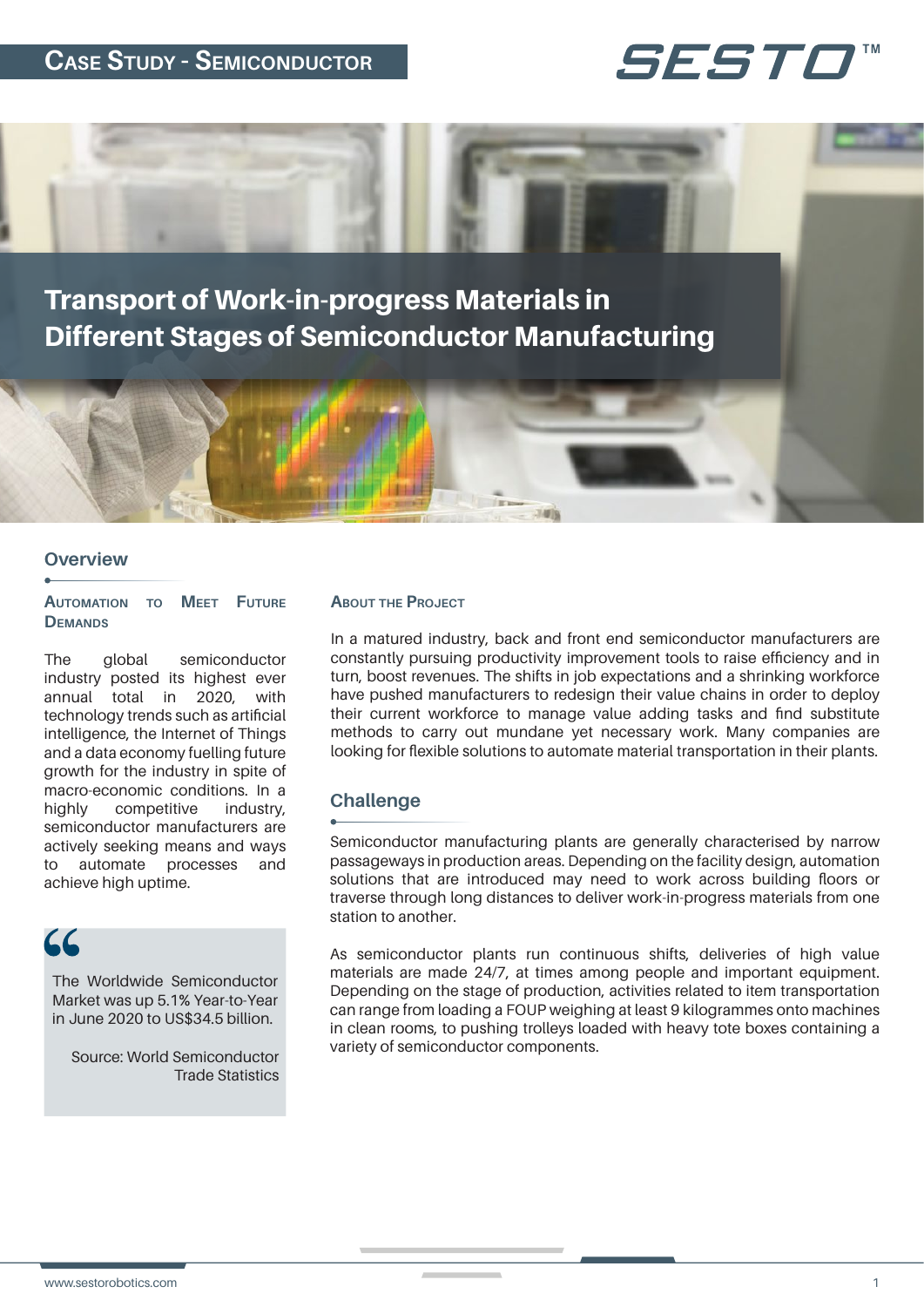# **CASE STUDY - SEMICONDUCTOR**





#### **Overview**

#### **AUTOMATION TO MEET FUTURE DEMANDS**

The global semiconductor industry posted its highest ever annual total in 2020, with technology trends such as artificial intelligence, the Internet of Things and a data economy fuelling future growth for the industry in spite of macro-economic conditions. In a highly competitive industry, semiconductor manufacturers are actively seeking means and ways to automate processes and achieve high uptime.

# $\mathcal{L}$

The Worldwide Semiconductor Market was up 5.1% Year-to-Year in June 2020 to US\$34.5 billion.

Source: World Semiconductor Trade Statistics

#### **ABOUT THE PROJECT**

In a matured industry, back and front end semiconductor manufacturers are constantly pursuing productivity improvement tools to raise efficiency and in turn, boost revenues. The shifts in job expectations and a shrinking workforce have pushed manufacturers to redesign their value chains in order to deploy their current workforce to manage value adding tasks and find substitute methods to carry out mundane yet necessary work. Many companies are looking for flexible solutions to automate material transportation in their plants.

### **Challenge**

Semiconductor manufacturing plants are generally characterised by narrow passageways in production areas. Depending on the facility design, automation solutions that are introduced may need to work across building floors or traverse through long distances to deliver work-in-progress materials from one station to another.

As semiconductor plants run continuous shifts, deliveries of high value materials are made 24/7, at times among people and important equipment. Depending on the stage of production, activities related to item transportation can range from loading a FOUP weighing at least 9 kilogrammes onto machines in clean rooms, to pushing trolleys loaded with heavy tote boxes containing a variety of semiconductor components.